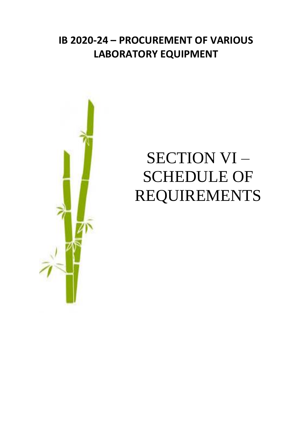## **IB 2020-24 – PROCUREMENT OF VARIOUS LABORATORY EQUIPMENT**



## SECTION VI – SCHEDULE OF REQUIREMENTS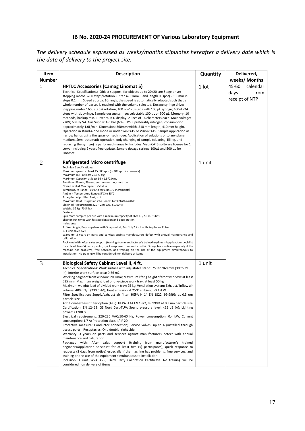## **IB No. 2020-24 PROCUREMENT OF Various Laboratory Equipment**

*The delivery schedule expressed as weeks/months stipulates hereafter a delivery date which is the date of delivery to the project site.*

| Item          | <b>Description</b>                                                                                                                                                                                                                                                                                                                                                                                                                                                                                                                                                                                                                                                                                                                                                                                                                                                                                                                                                                                                                                                                                                                                                                                                                                                                                                                                                                                                                                                                                                                                                                                                                                                                                                  | Quantity | Delivered,                                          |
|---------------|---------------------------------------------------------------------------------------------------------------------------------------------------------------------------------------------------------------------------------------------------------------------------------------------------------------------------------------------------------------------------------------------------------------------------------------------------------------------------------------------------------------------------------------------------------------------------------------------------------------------------------------------------------------------------------------------------------------------------------------------------------------------------------------------------------------------------------------------------------------------------------------------------------------------------------------------------------------------------------------------------------------------------------------------------------------------------------------------------------------------------------------------------------------------------------------------------------------------------------------------------------------------------------------------------------------------------------------------------------------------------------------------------------------------------------------------------------------------------------------------------------------------------------------------------------------------------------------------------------------------------------------------------------------------------------------------------------------------|----------|-----------------------------------------------------|
| <b>Number</b> |                                                                                                                                                                                                                                                                                                                                                                                                                                                                                                                                                                                                                                                                                                                                                                                                                                                                                                                                                                                                                                                                                                                                                                                                                                                                                                                                                                                                                                                                                                                                                                                                                                                                                                                     |          | weeks/ Months                                       |
| $\mathbf{1}$  | <b>HPTLC Accessories (Camag Linomat 5)</b><br>Technical Specifications: Object support: for objects up to 20x20 cm; Stage drive:<br>stepping motor 3200 steps/rotation, 8 steps=0.1mm. Band length 0 (spot) - 190mm in<br>steps 0.1mm. Speed approx. 10mm/s; the speed is automatically adapted such that a<br>whole number of passes is reached with the volume selected. Dosage syringe drive:<br>Stepping motor 1600 steps/ rotation, 100 nL=120 steps with 100 µL syringe; 100nL=24<br>steps with µL syringe. Sample dosage syringe: selectable 100 µL or 500 µL. Memory: 10<br>methods, backup min. 10 years. LCD display: 2 lines of 16 characters each. Main voltage:<br>220V; 60 Hz/VA. Gas Supply: 4-6 bar (60-90 PSI), preferably nitrogen; consumption<br>approximately 1.0L/min. Dimension: 360mm width, 510 mm length, 410 mm height.<br>Operation in stand-alone mode or under winCATS or VisionCATS. Sample application as<br>narrow bands using the spray-on technique. Application of solutions onto any planar<br>medium. Semi-automatic operation, only changing of sample (cleaning, filling, and<br>replacing the syringe) is performed manually. Includes: VisonCATS software license for 1<br>server including 2 years free update. Sample dosage syringe $100\mu$ L and $500 \mu$ L for<br>Linomat.                                                                                                                                                                                                                                                                                                                                                                                         | 1 lot    | calendar<br>45-60<br>days<br>from<br>receipt of NTP |
| 2             | <b>Refrigerated Micro centrifuge</b><br><b>Technical Specifications:</b><br>Maximum speed: at least 15,000 rpm (in 100 rpm increments)<br>Maximum RCF: at least 20,627 x g<br>Maximum Capacity: at least 36 x 1.5/2.0 mL<br>Run time: 99 min, 59 secs, continuous run, short run<br>Noise Level at Max. Speed: <58 dBa<br>Temperature Range: -10°C to 40°C (in 1°C increments)<br>Ambient Temperature Range: 5°C to 35°C<br>Accel/deccel profiles: Fast, soft<br>Maximum Heat Dissipation into Room: 1433 Btu/h (420W)<br>Electrical Requirement: 220 - 240 VAC, 50/60Hz<br>Weight: 32 kg (70.5 lb.)<br>Features:<br>Spin more samples per run with a maximum capacity of 36 x 1.5/2.0 mL tubes<br>Shorten run times with fast acceleration and deceleration<br>Inclusions:<br>1. Fixed Angle, Polypropylene with Snap-on Lid, 24 x 1.5/2.2 mL with 24 placers Rotor<br>2. 1 unit 3KVA AVR<br>Warranty: 3 years on parts and services against manufacturers defect with annual maintenance and<br>calibration.<br>Packaged with: After sales support (training from manufacturer's trained engineers/application specialist<br>for at least five (5) participants), quick response to requests (within 3 days from notice) especially if the<br>machine has problems, free services, and training on the use of the equipment simultaneous to<br>installation. No training will be considered non delivery of items                                                                                                                                                                                                                                                                                                 | 1 unit   |                                                     |
| 3             | Biological Safety Cabinet Level II, 4 ft.<br>Technical Specifications: Work surface with adjustable stand: 750 to 960 mm (30 to 39<br>in); Interior work surface area: 0.56 m2<br>Working height of front window: 200 mm; Maximum lifting height of front window: at least<br>535 mm; Maximum weight load of one-piece work tray: at least 50 kg<br>Maximum weight: load of divided work tray: 25 kg; Ventilation system: Exhaust/inflow air<br>volume: 400 m2/h (230 CFM); Heat emission at 25°C ambient: -0.15kW<br>Filter Specification: Supply/exhaust air filter: HEPA H 14 EN 1822, 99.999% at 0.3 um<br>particle size<br>Additional exhaust filter option (AEF): HEPA H 14 EN 1822, 99.999% at 0.3 um particle size<br>Certification: EN 12469; GS Nord Cert-TUV; Sound pressure level: <55 dB (A); Lighting<br>power: >1200 lx<br>Electrical requirement: 220-230 VAC/50-60 Hz; Power consumption: 0.4 kW; Current<br>consumption: 1.7 A; Protection class: I/ IP 20<br>Protective measure: Conductor connection; Service valves: up to 4 (installed through<br>access ports); Receptacles: One double, right side<br>Warranty: 3 years on parts and services against manufacturers defect with annual<br>maintenance and calibration.<br>Packaged with: After sales support (training from manufacturer's trained<br>engineers/application specialist for at least five (5) participants), quick response to<br>requests (3 days from notice) especially if the machine has problems, free services, and<br>training on the use of the equipment simultaneous to installation.<br>Inclusion: 1 unit 3kVA AVR, Third Party Calibration Certificate. No training will be<br>considered non delivery of items | 1 unit   |                                                     |